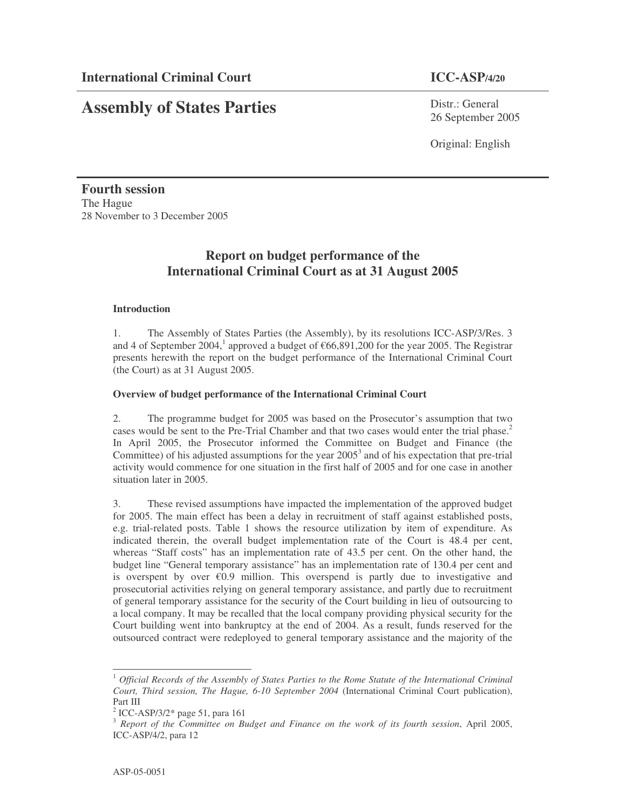# **Assembly of States Parties**

Distr.: General 26 September 2005

Original: English

**Fourth session** The Hague 28 November to 3 December 2005

## **Report on budget performance of the International Criminal Court as at 31 August 2005**

#### **Introduction**

1. The Assembly of States Parties (the Assembly), by its resolutions ICC-ASP/3/Res. 3 and 4 of September 2004, 1 approved a budget of €66,891,200 for the year 2005. The Registrar presents herewith the report on the budget performance of the International Criminal Court (the Court) as at 31 August 2005.

#### **Overview of budget performance of the International Criminal Court**

2. The programme budget for 2005 was based on the Prosecutor's assumption that two cases would be sent to the Pre-Trial Chamber and that two cases would enter the trial phase. 2 In April 2005, the Prosecutor informed the Committee on Budget and Finance (the Committee) of his adjusted assumptions for the year  $2005<sup>3</sup>$  and of his expectation that pre-trial activity would commence for one situation in the first half of 2005 and for one case in another situation later in 2005.

3. These revised assumptions have impacted the implementation of the approved budget for 2005. The main effect has been a delay in recruitment of staff against established posts, e.g. trial-related posts. Table 1 shows the resource utilization by item of expenditure. As indicated therein, the overall budget implementation rate of the Court is 48.4 per cent, whereas "Staff costs" has an implementation rate of 43.5 per cent. On the other hand, the budget line "General temporary assistance" has an implementation rate of 130.4 per cent and is overspent by over  $\epsilon 0.9$  million. This overspend is partly due to investigative and prosecutorial activities relying on general temporary assistance, and partly due to recruitment of general temporary assistance for the security of the Court building in lieu of outsourcing to a local company. It may be recalled that the local company providing physical security for the Court building went into bankruptcy at the end of 2004. As a result, funds reserved for the outsourced contract were redeployed to general temporary assistance and the majority of the

<sup>1</sup> *Official Records of the Assembly of States Parties to the Rome Statute of the International Criminal Court, Third session, The Hague, 6-10 September 2004* (International Criminal Court publication), Part III

<sup>2</sup> ICC-ASP/3/2\* page 51, para 161

<sup>3</sup> *Report of the Committee on Budget and Finance on the work of its fourth session*, April 2005, ICC-ASP/4/2, para 12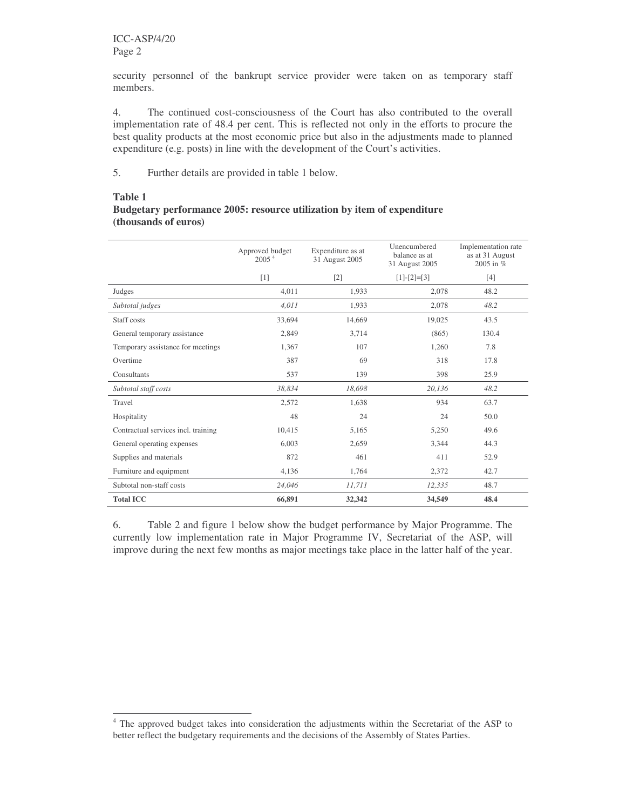security personnel of the bankrupt service provider were taken on as temporary staff members.

4. The continued cost-consciousness of the Court has also contributed to the overall implementation rate of 48.4 per cent. This is reflected not only in the efforts to procure the best quality products at the most economic price but also in the adjustments made to planned expenditure (e.g. posts) in line with the development of the Court's activities.

5. Further details are provided in table 1 below.

#### **Table 1**

#### **Budgetary performance 2005: resource utilization by item of expenditure (thousands of euros)**

|                                     | Approved budget<br>2005 <sup>4</sup> | Expenditure as at<br>31 August 2005 | Unencumbered<br>balance as at<br>31 August 2005 | Implementation rate<br>as at 31 August<br>2005 in % |
|-------------------------------------|--------------------------------------|-------------------------------------|-------------------------------------------------|-----------------------------------------------------|
|                                     | $[1]$                                | $[2]$                               | $[1]-[2]=[3]$                                   | $[4]$                                               |
| Judges                              | 4.011                                | 1,933                               | 2.078                                           | 48.2                                                |
| Subtotal judges                     | 4.011                                | 1,933                               | 2,078                                           | 48.2                                                |
| Staff costs                         | 33,694                               | 14,669                              | 19,025                                          | 43.5                                                |
| General temporary assistance        | 2,849                                | 3,714                               | (865)                                           | 130.4                                               |
| Temporary assistance for meetings   | 1,367                                | 107                                 | 1,260                                           | 7.8                                                 |
| Overtime                            | 387                                  | 69                                  | 318                                             | 17.8                                                |
| Consultants                         | 537                                  | 139                                 | 398                                             | 25.9                                                |
| Subtotal staff costs                | 38.834                               | 18.698                              | 20,136                                          | 48.2                                                |
| Travel                              | 2,572                                | 1,638                               | 934                                             | 63.7                                                |
| Hospitality                         | 48                                   | 24                                  | 24                                              | 50.0                                                |
| Contractual services incl. training | 10.415                               | 5,165                               | 5,250                                           | 49.6                                                |
| General operating expenses          | 6,003                                | 2,659                               | 3,344                                           | 44.3                                                |
| Supplies and materials              | 872                                  | 461                                 | 411                                             | 52.9                                                |
| Furniture and equipment             | 4,136                                | 1,764                               | 2,372                                           | 42.7                                                |
| Subtotal non-staff costs            | 24.046                               | 11,711                              | 12,335                                          | 48.7                                                |
| <b>Total ICC</b>                    | 66,891                               | 32,342                              | 34,549                                          | 48.4                                                |

6. Table 2 and figure 1 below show the budget performance by Major Programme. The currently low implementation rate in Major Programme IV, Secretariat of the ASP, will improve during the next few months as major meetings take place in the latter half of the year.

<sup>&</sup>lt;sup>4</sup> The approved budget takes into consideration the adjustments within the Secretariat of the ASP to better reflect the budgetary requirements and the decisions of the Assembly of States Parties.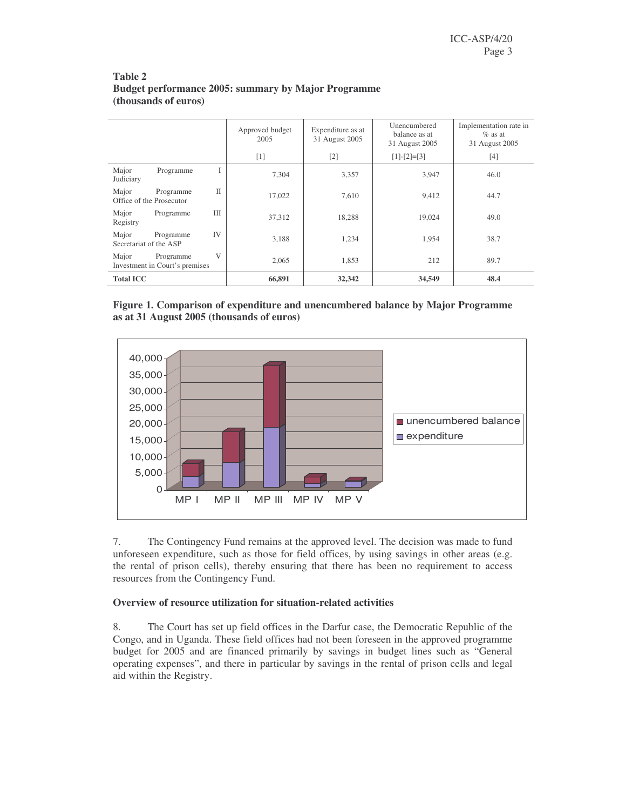|                                                                | Approved budget<br>2005 | Expenditure as at<br>31 August 2005 | Unencumbered<br>balance as at<br>31 August 2005 | Implementation rate in<br>$\%$ as at<br>31 August 2005 |
|----------------------------------------------------------------|-------------------------|-------------------------------------|-------------------------------------------------|--------------------------------------------------------|
|                                                                | $[1]$                   | $\lceil 2 \rceil$                   | $[1]-[2]=[3]$                                   | $[4]$                                                  |
| Major<br>Programme<br>I<br>Judiciary                           | 7.304                   | 3,357                               | 3,947                                           | 46.0                                                   |
| $\mathbf{H}$<br>Major<br>Programme<br>Office of the Prosecutor | 17,022                  | 7,610                               | 9,412                                           | 44.7                                                   |
| <b>III</b><br>Major<br>Programme<br>Registry                   | 37,312                  | 18,288                              | 19.024                                          | 49.0                                                   |
| IV<br>Major<br>Programme<br>Secretariat of the ASP             | 3.188                   | 1,234                               | 1.954                                           | 38.7                                                   |
| V<br>Major<br>Programme<br>Investment in Court's premises      | 2.065                   | 1,853                               | 212                                             | 89.7                                                   |
| <b>Total ICC</b>                                               | 66,891                  | 32,342                              | 34,549                                          | 48.4                                                   |

### **Table 2 Budget performance 2005: summary by Major Programme (thousands of euros)**





7. The Contingency Fund remains at the approved level. The decision was made to fund unforeseen expenditure, such as those for field offices, by using savings in other areas (e.g. the rental of prison cells), thereby ensuring that there has been no requirement to access resources from the Contingency Fund.

### **Overview of resource utilization for situation-related activities**

8. The Court has set up field offices in the Darfur case, the Democratic Republic of the Congo, and in Uganda. These field offices had not been foreseen in the approved programme budget for 2005 and are financed primarily by savings in budget lines such as "General operating expenses", and there in particular by savings in the rental of prison cells and legal aid within the Registry.